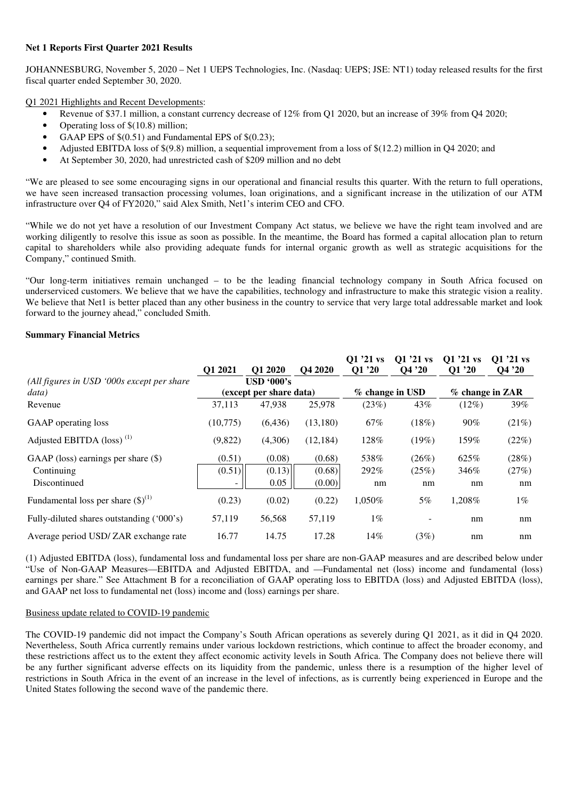### **Net 1 Reports First Quarter 2021 Results**

JOHANNESBURG, November 5, 2020 – Net 1 UEPS Technologies, Inc. (Nasdaq: UEPS; JSE: NT1) today released results for the first fiscal quarter ended September 30, 2020.

Q1 2021 Highlights and Recent Developments:

- Revenue of \$37.1 million, a constant currency decrease of 12% from Q1 2020, but an increase of 39% from Q4 2020;
- Operating loss of \$(10.8) million;
- GAAP EPS of  $$(0.51)$  and Fundamental EPS of  $$(0.23)$ ;
- Adjusted EBITDA loss of \$(9.8) million, a sequential improvement from a loss of \$(12.2) million in Q4 2020; and
- At September 30, 2020, had unrestricted cash of \$209 million and no debt

"We are pleased to see some encouraging signs in our operational and financial results this quarter. With the return to full operations, we have seen increased transaction processing volumes, loan originations, and a significant increase in the utilization of our ATM infrastructure over Q4 of FY2020," said Alex Smith, Net1's interim CEO and CFO.

"While we do not yet have a resolution of our Investment Company Act status, we believe we have the right team involved and are working diligently to resolve this issue as soon as possible. In the meantime, the Board has formed a capital allocation plan to return capital to shareholders while also providing adequate funds for internal organic growth as well as strategic acquisitions for the Company," continued Smith.

"Our long-term initiatives remain unchanged – to be the leading financial technology company in South Africa focused on underserviced customers. We believe that we have the capabilities, technology and infrastructure to make this strategic vision a reality. We believe that Net1 is better placed than any other business in the country to service that very large total addressable market and look forward to the journey ahead," concluded Smith.

### **Summary Financial Metrics**

|                                                                     | Q1 2021                                            | O1 2020                  | Q4 2020                    | $Q1'21$ vs<br>Q1 '20 | $Q1'21$ vs<br>Q4'20  | Q1 '21 vs<br>O1 '20 | $Q1'21$ vs<br>Q4 '20 |
|---------------------------------------------------------------------|----------------------------------------------------|--------------------------|----------------------------|----------------------|----------------------|---------------------|----------------------|
| (All figures in USD '000s except per share<br>data)                 | $\overline{USD}$ '000's<br>(except per share data) |                          |                            |                      | % change in USD      | % change in ZAR     |                      |
| Revenue                                                             | 37,113                                             | 47,938                   | 25,978                     | (23%)                | 43%                  | (12%)               | 39%                  |
| GAAP operating loss                                                 | (10,775)                                           | (6, 436)                 | (13,180)                   | 67%                  | (18%)                | 90%                 | (21%)                |
| Adjusted EBITDA (loss) <sup>(1)</sup>                               | (9,822)                                            | (4,306)                  | (12, 184)                  | 128%                 | (19%)                | 159%                | (22%)                |
| GAAP (loss) earnings per share $(\$)$<br>Continuing<br>Discontinued | (0.51)<br>(0.51)                                   | (0.08)<br>(0.13)<br>0.05 | (0.68)<br>(0.68)<br>(0.00) | 538%<br>292%<br>nm   | (26%)<br>(25%)<br>nm | 625%<br>346%<br>nm  | (28%)<br>(27%)<br>nm |
| Fundamental loss per share $(\text{\$})^{(1)}$                      | (0.23)                                             | (0.02)                   | (0.22)                     | 1,050%               | 5%                   | 1,208%              | $1\%$                |
| Fully-diluted shares outstanding ('000's)                           | 57,119                                             | 56,568                   | 57,119                     | $1\%$                |                      | nm                  | nm                   |
| Average period USD/ZAR exchange rate                                | 16.77                                              | 14.75                    | 17.28                      | 14%                  | (3%)                 | nm                  | nm                   |

(1) Adjusted EBITDA (loss), fundamental loss and fundamental loss per share are non-GAAP measures and are described below under "Use of Non-GAAP Measures—EBITDA and Adjusted EBITDA, and —Fundamental net (loss) income and fundamental (loss) earnings per share." See Attachment B for a reconciliation of GAAP operating loss to EBITDA (loss) and Adjusted EBITDA (loss), and GAAP net loss to fundamental net (loss) income and (loss) earnings per share.

### Business update related to COVID-19 pandemic

The COVID-19 pandemic did not impact the Company's South African operations as severely during Q1 2021, as it did in Q4 2020. Nevertheless, South Africa currently remains under various lockdown restrictions, which continue to affect the broader economy, and these restrictions affect us to the extent they affect economic activity levels in South Africa. The Company does not believe there will be any further significant adverse effects on its liquidity from the pandemic, unless there is a resumption of the higher level of restrictions in South Africa in the event of an increase in the level of infections, as is currently being experienced in Europe and the United States following the second wave of the pandemic there.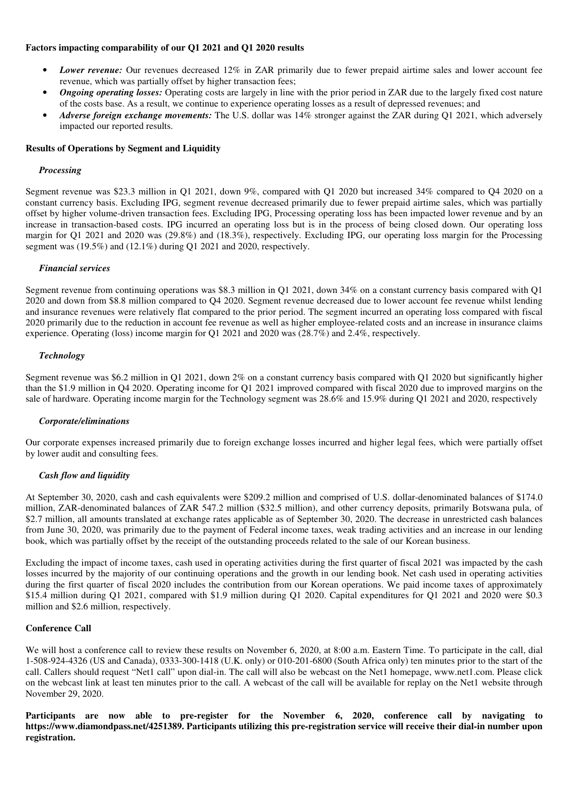### **Factors impacting comparability of our Q1 2021 and Q1 2020 results**

- *Lower revenue:* Our revenues decreased 12% in ZAR primarily due to fewer prepaid airtime sales and lower account fee revenue, which was partially offset by higher transaction fees;
- *Ongoing operating losses:* Operating costs are largely in line with the prior period in ZAR due to the largely fixed cost nature of the costs base. As a result, we continue to experience operating losses as a result of depressed revenues; and
- *Adverse foreign exchange movements:* The U.S. dollar was 14% stronger against the ZAR during Q1 2021, which adversely impacted our reported results.

### **Results of Operations by Segment and Liquidity**

### *Processing*

Segment revenue was \$23.3 million in Q1 2021, down 9%, compared with Q1 2020 but increased 34% compared to Q4 2020 on a constant currency basis. Excluding IPG, segment revenue decreased primarily due to fewer prepaid airtime sales, which was partially offset by higher volume-driven transaction fees. Excluding IPG, Processing operating loss has been impacted lower revenue and by an increase in transaction-based costs. IPG incurred an operating loss but is in the process of being closed down. Our operating loss margin for Q1 2021 and 2020 was (29.8%) and (18.3%), respectively. Excluding IPG, our operating loss margin for the Processing segment was (19.5%) and (12.1%) during Q1 2021 and 2020, respectively.

### *Financial services*

Segment revenue from continuing operations was \$8.3 million in Q1 2021, down 34% on a constant currency basis compared with Q1 2020 and down from \$8.8 million compared to Q4 2020. Segment revenue decreased due to lower account fee revenue whilst lending and insurance revenues were relatively flat compared to the prior period. The segment incurred an operating loss compared with fiscal 2020 primarily due to the reduction in account fee revenue as well as higher employee-related costs and an increase in insurance claims experience. Operating (loss) income margin for Q1 2021 and 2020 was (28.7%) and 2.4%, respectively.

### *Technology*

Segment revenue was \$6.2 million in Q1 2021, down 2% on a constant currency basis compared with Q1 2020 but significantly higher than the \$1.9 million in Q4 2020. Operating income for Q1 2021 improved compared with fiscal 2020 due to improved margins on the sale of hardware. Operating income margin for the Technology segment was 28.6% and 15.9% during Q1 2021 and 2020, respectively

#### *Corporate/eliminations*

Our corporate expenses increased primarily due to foreign exchange losses incurred and higher legal fees, which were partially offset by lower audit and consulting fees.

### *Cash flow and liquidity*

At September 30, 2020, cash and cash equivalents were \$209.2 million and comprised of U.S. dollar-denominated balances of \$174.0 million, ZAR-denominated balances of ZAR 547.2 million (\$32.5 million), and other currency deposits, primarily Botswana pula, of \$2.7 million, all amounts translated at exchange rates applicable as of September 30, 2020. The decrease in unrestricted cash balances from June 30, 2020, was primarily due to the payment of Federal income taxes, weak trading activities and an increase in our lending book, which was partially offset by the receipt of the outstanding proceeds related to the sale of our Korean business.

Excluding the impact of income taxes, cash used in operating activities during the first quarter of fiscal 2021 was impacted by the cash losses incurred by the majority of our continuing operations and the growth in our lending book. Net cash used in operating activities during the first quarter of fiscal 2020 includes the contribution from our Korean operations. We paid income taxes of approximately \$15.4 million during Q1 2021, compared with \$1.9 million during Q1 2020. Capital expenditures for Q1 2021 and 2020 were \$0.3 million and \$2.6 million, respectively.

### **Conference Call**

We will host a conference call to review these results on November 6, 2020, at 8:00 a.m. Eastern Time. To participate in the call, dial 1-508-924-4326 (US and Canada), 0333-300-1418 (U.K. only) or 010-201-6800 (South Africa only) ten minutes prior to the start of the call. Callers should request "Net1 call" upon dial-in. The call will also be webcast on the Net1 homepage, www.net1.com. Please click on the webcast link at least ten minutes prior to the call. A webcast of the call will be available for replay on the Net1 website through November 29, 2020.

**Participants are now able to pre-register for the November 6, 2020, conference call by navigating to https://www.diamondpass.net/4251389. Participants utilizing this pre-registration service will receive their dial-in number upon registration.**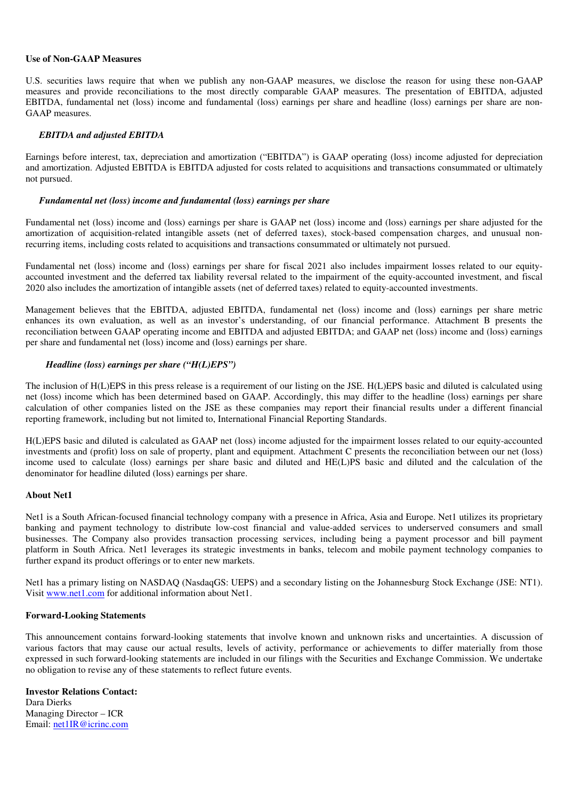### **Use of Non-GAAP Measures**

U.S. securities laws require that when we publish any non-GAAP measures, we disclose the reason for using these non-GAAP measures and provide reconciliations to the most directly comparable GAAP measures. The presentation of EBITDA, adjusted EBITDA, fundamental net (loss) income and fundamental (loss) earnings per share and headline (loss) earnings per share are non-GAAP measures.

### *EBITDA and adjusted EBITDA*

Earnings before interest, tax, depreciation and amortization ("EBITDA") is GAAP operating (loss) income adjusted for depreciation and amortization. Adjusted EBITDA is EBITDA adjusted for costs related to acquisitions and transactions consummated or ultimately not pursued.

### *Fundamental net (loss) income and fundamental (loss) earnings per share*

Fundamental net (loss) income and (loss) earnings per share is GAAP net (loss) income and (loss) earnings per share adjusted for the amortization of acquisition-related intangible assets (net of deferred taxes), stock-based compensation charges, and unusual nonrecurring items, including costs related to acquisitions and transactions consummated or ultimately not pursued.

Fundamental net (loss) income and (loss) earnings per share for fiscal 2021 also includes impairment losses related to our equityaccounted investment and the deferred tax liability reversal related to the impairment of the equity-accounted investment, and fiscal 2020 also includes the amortization of intangible assets (net of deferred taxes) related to equity-accounted investments.

Management believes that the EBITDA, adjusted EBITDA, fundamental net (loss) income and (loss) earnings per share metric enhances its own evaluation, as well as an investor's understanding, of our financial performance. Attachment B presents the reconciliation between GAAP operating income and EBITDA and adjusted EBITDA; and GAAP net (loss) income and (loss) earnings per share and fundamental net (loss) income and (loss) earnings per share.

### *Headline (loss) earnings per share ("H(L)EPS")*

The inclusion of H(L)EPS in this press release is a requirement of our listing on the JSE. H(L)EPS basic and diluted is calculated using net (loss) income which has been determined based on GAAP. Accordingly, this may differ to the headline (loss) earnings per share calculation of other companies listed on the JSE as these companies may report their financial results under a different financial reporting framework, including but not limited to, International Financial Reporting Standards.

H(L)EPS basic and diluted is calculated as GAAP net (loss) income adjusted for the impairment losses related to our equity-accounted investments and (profit) loss on sale of property, plant and equipment. Attachment C presents the reconciliation between our net (loss) income used to calculate (loss) earnings per share basic and diluted and HE(L)PS basic and diluted and the calculation of the denominator for headline diluted (loss) earnings per share.

### **About Net1**

Net1 is a South African-focused financial technology company with a presence in Africa, Asia and Europe. Net1 utilizes its proprietary banking and payment technology to distribute low-cost financial and value-added services to underserved consumers and small businesses. The Company also provides transaction processing services, including being a payment processor and bill payment platform in South Africa. Net1 leverages its strategic investments in banks, telecom and mobile payment technology companies to further expand its product offerings or to enter new markets.

Net1 has a primary listing on NASDAQ (NasdaqGS: UEPS) and a secondary listing on the Johannesburg Stock Exchange (JSE: NT1). Visit www.net1.com for additional information about Net1.

#### **Forward-Looking Statements**

This announcement contains forward-looking statements that involve known and unknown risks and uncertainties. A discussion of various factors that may cause our actual results, levels of activity, performance or achievements to differ materially from those expressed in such forward-looking statements are included in our filings with the Securities and Exchange Commission. We undertake no obligation to revise any of these statements to reflect future events.

# **Investor Relations Contact:**

Dara Dierks Managing Director – ICR Email: net1IR@icrinc.com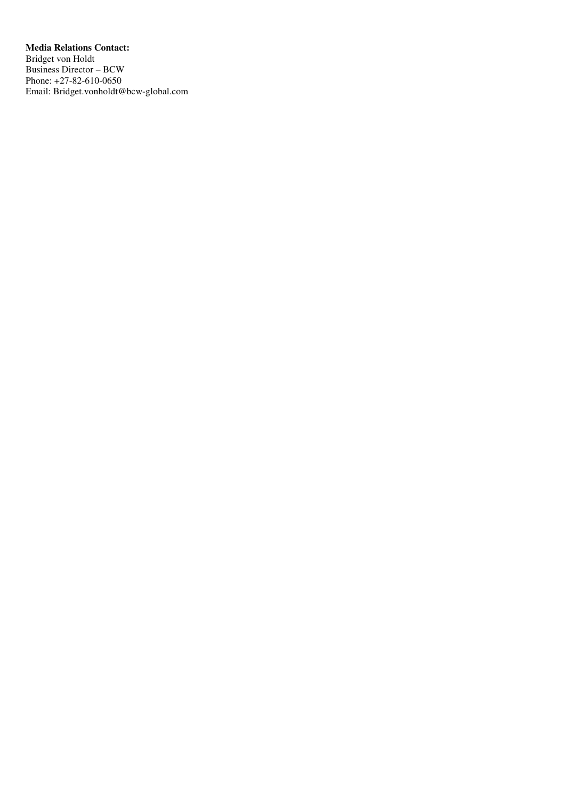**Media Relations Contact:**  Bridget von Holdt Business Director – BCW Phone: +27-82-610-0650 Email: Bridget.vonholdt@bcw-global.com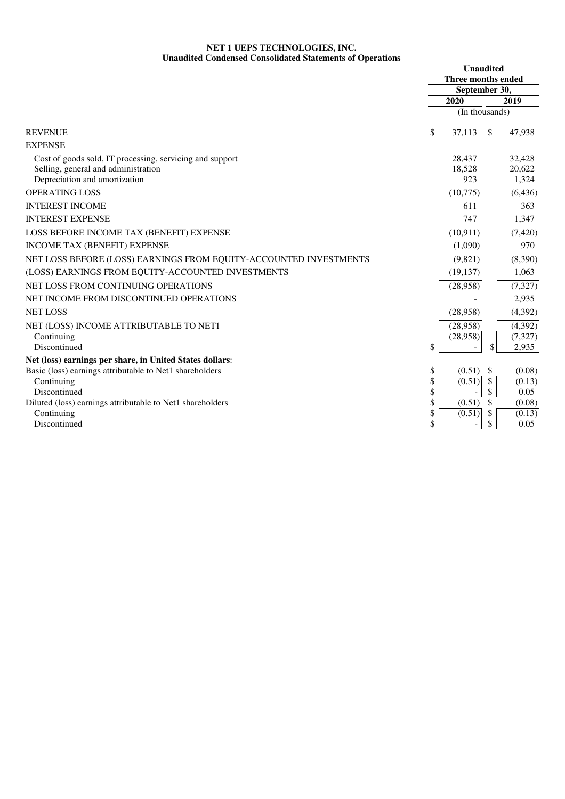## **NET 1 UEPS TECHNOLOGIES, INC. Unaudited Condensed Consolidated Statements of Operations**

| aaanta conathsta consonaatta biattintins of                       | <b>Unaudited</b>          |                          |          |                |
|-------------------------------------------------------------------|---------------------------|--------------------------|----------|----------------|
|                                                                   | <b>Three months ended</b> |                          |          |                |
|                                                                   | September 30,             |                          |          |                |
|                                                                   |                           | 2020                     |          | 2019           |
|                                                                   |                           | (In thousands)           |          |                |
| <b>REVENUE</b>                                                    | \$                        | 37,113                   | \$       | 47,938         |
| <b>EXPENSE</b>                                                    |                           |                          |          |                |
| Cost of goods sold, IT processing, servicing and support          |                           | 28,437                   |          | 32,428         |
| Selling, general and administration                               |                           | 18,528                   |          | 20,622         |
| Depreciation and amortization                                     |                           | 923                      |          | 1,324          |
| <b>OPERATING LOSS</b>                                             |                           | (10,775)                 |          | (6, 436)       |
| <b>INTEREST INCOME</b>                                            |                           | 611                      |          | 363            |
| <b>INTEREST EXPENSE</b>                                           |                           | 747                      |          | 1,347          |
| LOSS BEFORE INCOME TAX (BENEFIT) EXPENSE                          |                           | (10, 911)                |          | (7, 420)       |
| INCOME TAX (BENEFIT) EXPENSE                                      |                           | (1,090)                  |          | 970            |
| NET LOSS BEFORE (LOSS) EARNINGS FROM EQUITY-ACCOUNTED INVESTMENTS |                           | (9,821)                  |          | (8,390)        |
| (LOSS) EARNINGS FROM EQUITY-ACCOUNTED INVESTMENTS                 |                           | (19, 137)                |          | 1,063          |
| NET LOSS FROM CONTINUING OPERATIONS                               |                           | (28,958)                 |          | (7, 327)       |
| NET INCOME FROM DISCONTINUED OPERATIONS                           |                           |                          |          | 2,935          |
| <b>NET LOSS</b>                                                   |                           | (28,958)                 |          | (4, 392)       |
| NET (LOSS) INCOME ATTRIBUTABLE TO NET1                            |                           | (28,958)                 |          | (4, 392)       |
| Continuing                                                        |                           | (28,958)                 |          | (7, 327)       |
| Discontinued                                                      | \$                        |                          | \$       | 2,935          |
| Net (loss) earnings per share, in United States dollars:          |                           |                          |          |                |
| Basic (loss) earnings attributable to Net1 shareholders           | \$                        | (0.51)                   | \$       | (0.08)         |
| Continuing<br>Discontinued                                        | \$<br>\$                  | (0.51)                   | \$<br>\$ | (0.13)         |
| Diluted (loss) earnings attributable to Net1 shareholders         | \$                        | (0.51)                   | \$       | 0.05<br>(0.08) |
| Continuing                                                        | \$                        | (0.51)                   | \$       | (0.13)         |
| Discontinued                                                      | \$                        | $\overline{\phantom{a}}$ | \$       | 0.05           |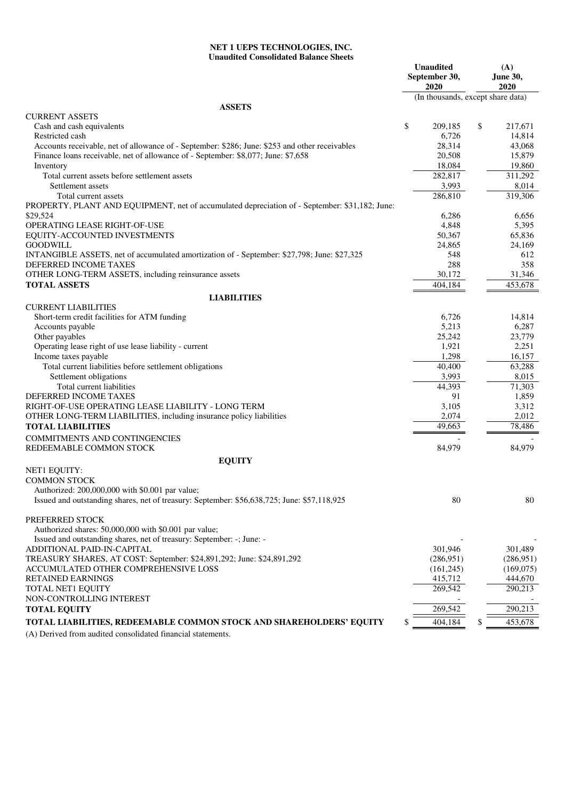## **NET 1 UEPS TECHNOLOGIES, INC. Unaudited Consolidated Balance Sheets**

|                                                                                                            | <b>Unaudited</b><br>September 30,<br>2020 |                                   | (A)<br>June 30,<br>2020 |           |
|------------------------------------------------------------------------------------------------------------|-------------------------------------------|-----------------------------------|-------------------------|-----------|
|                                                                                                            |                                           | (In thousands, except share data) |                         |           |
| <b>ASSETS</b>                                                                                              |                                           |                                   |                         |           |
| <b>CURRENT ASSETS</b><br>Cash and cash equivalents                                                         | \$                                        | 209,185                           | \$                      | 217,671   |
| Restricted cash                                                                                            |                                           | 6,726                             |                         | 14,814    |
| Accounts receivable, net of allowance of - September: \$286; June: \$253 and other receivables             |                                           | 28,314                            |                         | 43,068    |
| Finance loans receivable, net of allowance of - September: \$8,077; June: \$7,658                          |                                           | 20,508                            |                         | 15,879    |
| Inventory                                                                                                  |                                           | 18,084                            |                         | 19,860    |
| Total current assets before settlement assets                                                              |                                           | 282,817                           |                         | 311,292   |
| Settlement assets                                                                                          |                                           | 3,993                             |                         | 8,014     |
| Total current assets                                                                                       |                                           | 286,810                           |                         | 319,306   |
| PROPERTY, PLANT AND EQUIPMENT, net of accumulated depreciation of - September: \$31,182; June:<br>\$29,524 |                                           | 6,286                             |                         | 6,656     |
| OPERATING LEASE RIGHT-OF-USE                                                                               |                                           | 4,848                             |                         | 5,395     |
| EQUITY-ACCOUNTED INVESTMENTS                                                                               |                                           | 50,367                            |                         | 65,836    |
| <b>GOODWILL</b>                                                                                            |                                           | 24,865                            |                         | 24,169    |
| INTANGIBLE ASSETS, net of accumulated amortization of - September: \$27,798; June: \$27,325                |                                           | 548                               |                         | 612       |
| DEFERRED INCOME TAXES                                                                                      |                                           | 288                               |                         | 358       |
| OTHER LONG-TERM ASSETS, including reinsurance assets                                                       |                                           | 30,172                            |                         | 31,346    |
| <b>TOTAL ASSETS</b>                                                                                        |                                           | 404,184                           |                         | 453.678   |
| <b>LIABILITIES</b>                                                                                         |                                           |                                   |                         |           |
| <b>CURRENT LIABILITIES</b>                                                                                 |                                           |                                   |                         |           |
| Short-term credit facilities for ATM funding                                                               |                                           | 6,726                             |                         | 14,814    |
| Accounts payable                                                                                           |                                           | 5,213                             |                         | 6,287     |
| Other payables                                                                                             |                                           | 25,242                            |                         | 23,779    |
| Operating lease right of use lease liability - current                                                     |                                           | 1,921                             |                         | 2,251     |
| Income taxes payable                                                                                       |                                           | 1,298                             |                         | 16,157    |
| Total current liabilities before settlement obligations                                                    |                                           | 40,400                            |                         | 63,288    |
| Settlement obligations                                                                                     |                                           | 3,993                             |                         | 8,015     |
| Total current liabilities                                                                                  |                                           | 44,393                            |                         | 71,303    |
| DEFERRED INCOME TAXES                                                                                      |                                           | 91                                |                         | 1,859     |
| RIGHT-OF-USE OPERATING LEASE LIABILITY - LONG TERM                                                         |                                           | 3,105                             |                         | 3,312     |
| OTHER LONG-TERM LIABILITIES, including insurance policy liabilities                                        |                                           | 2,074                             |                         | 2,012     |
| <b>TOTAL LIABILITIES</b>                                                                                   |                                           | 49,663                            |                         | 78,486    |
| COMMITMENTS AND CONTINGENCIES                                                                              |                                           |                                   |                         |           |
| REDEEMABLE COMMON STOCK                                                                                    |                                           | 84,979                            |                         | 84,979    |
| <b>EQUITY</b>                                                                                              |                                           |                                   |                         |           |
| <b>NET1 EQUITY:</b>                                                                                        |                                           |                                   |                         |           |
| <b>COMMON STOCK</b>                                                                                        |                                           |                                   |                         |           |
| Authorized: 200,000,000 with \$0.001 par value;                                                            |                                           |                                   |                         |           |
| Issued and outstanding shares, net of treasury: September: \$56,638,725; June: \$57,118,925                |                                           | 80                                |                         | 80        |
|                                                                                                            |                                           |                                   |                         |           |
| PREFERRED STOCK                                                                                            |                                           |                                   |                         |           |
| Authorized shares: 50,000,000 with \$0.001 par value;                                                      |                                           |                                   |                         |           |
| Issued and outstanding shares, net of treasury: September: -; June: -                                      |                                           |                                   |                         |           |
| ADDITIONAL PAID-IN-CAPITAL                                                                                 |                                           | 301,946                           |                         | 301,489   |
| TREASURY SHARES, AT COST: September: \$24,891,292; June: \$24,891,292                                      |                                           | (286,951)                         |                         | (286,951) |
| ACCUMULATED OTHER COMPREHENSIVE LOSS                                                                       |                                           | (161, 245)                        |                         | (169,075) |
| RETAINED EARNINGS                                                                                          |                                           | 415,712<br>269,542                |                         | 444,670   |
| TOTAL NET1 EQUITY<br>NON-CONTROLLING INTEREST                                                              |                                           |                                   |                         | 290,213   |
| <b>TOTAL EQUITY</b>                                                                                        |                                           | 269,542                           |                         | 290,213   |
|                                                                                                            |                                           |                                   |                         |           |
| TOTAL LIABILITIES, REDEEMABLE COMMON STOCK AND SHAREHOLDERS' EQUITY                                        |                                           | 404,184                           | \$                      | 453,678   |
| (A) Derived from audited consolidated financial statements.                                                |                                           |                                   |                         |           |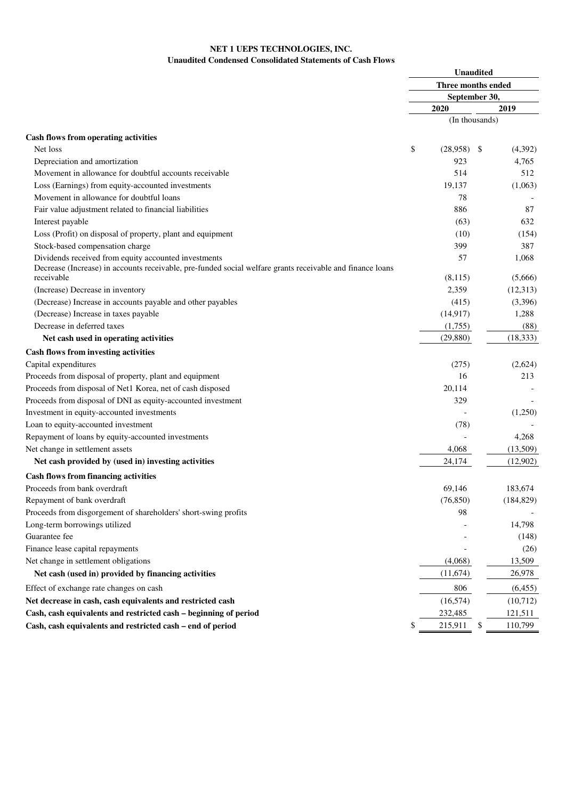## **NET 1 UEPS TECHNOLOGIES, INC. Unaudited Condensed Consolidated Statements of Cash Flows**

|                                                                                                           | <b>Unaudited</b> |                    |    |            |  |  |
|-----------------------------------------------------------------------------------------------------------|------------------|--------------------|----|------------|--|--|
|                                                                                                           |                  | Three months ended |    |            |  |  |
|                                                                                                           |                  | September 30,      |    |            |  |  |
|                                                                                                           |                  | 2020               |    | 2019       |  |  |
|                                                                                                           |                  | (In thousands)     |    |            |  |  |
| <b>Cash flows from operating activities</b>                                                               |                  |                    |    |            |  |  |
| Net loss                                                                                                  | \$               | (28,958)           | -S | (4,392)    |  |  |
| Depreciation and amortization                                                                             |                  | 923                |    | 4,765      |  |  |
| Movement in allowance for doubtful accounts receivable                                                    |                  | 514                |    | 512        |  |  |
| Loss (Earnings) from equity-accounted investments                                                         |                  | 19,137             |    | (1,063)    |  |  |
| Movement in allowance for doubtful loans                                                                  |                  | 78                 |    |            |  |  |
| Fair value adjustment related to financial liabilities                                                    |                  | 886                |    | 87         |  |  |
| Interest payable                                                                                          |                  | (63)               |    | 632        |  |  |
| Loss (Profit) on disposal of property, plant and equipment                                                |                  | (10)               |    | (154)      |  |  |
| Stock-based compensation charge                                                                           |                  | 399                |    | 387        |  |  |
| Dividends received from equity accounted investments                                                      |                  | 57                 |    | 1,068      |  |  |
| Decrease (Increase) in accounts receivable, pre-funded social welfare grants receivable and finance loans |                  |                    |    |            |  |  |
| receivable                                                                                                |                  | (8,115)            |    | (5,666)    |  |  |
| (Increase) Decrease in inventory                                                                          |                  | 2,359              |    | (12, 313)  |  |  |
| (Decrease) Increase in accounts payable and other payables                                                |                  | (415)              |    | (3,396)    |  |  |
| (Decrease) Increase in taxes payable                                                                      |                  | (14, 917)          |    | 1,288      |  |  |
| Decrease in deferred taxes                                                                                |                  | (1,755)            |    | (88)       |  |  |
| Net cash used in operating activities                                                                     |                  | (29, 880)          |    | (18, 333)  |  |  |
| <b>Cash flows from investing activities</b>                                                               |                  |                    |    |            |  |  |
| Capital expenditures                                                                                      |                  | (275)              |    | (2,624)    |  |  |
| Proceeds from disposal of property, plant and equipment                                                   |                  | 16                 |    | 213        |  |  |
| Proceeds from disposal of Net1 Korea, net of cash disposed                                                |                  | 20,114             |    |            |  |  |
| Proceeds from disposal of DNI as equity-accounted investment                                              |                  | 329                |    |            |  |  |
| Investment in equity-accounted investments                                                                |                  |                    |    | (1,250)    |  |  |
| Loan to equity-accounted investment                                                                       |                  | (78)               |    |            |  |  |
| Repayment of loans by equity-accounted investments                                                        |                  |                    |    | 4,268      |  |  |
| Net change in settlement assets                                                                           |                  | 4,068              |    | (13,509)   |  |  |
| Net cash provided by (used in) investing activities                                                       |                  | 24,174             |    | (12,902)   |  |  |
| <b>Cash flows from financing activities</b>                                                               |                  |                    |    |            |  |  |
| Proceeds from bank overdraft                                                                              |                  | 69,146             |    | 183,674    |  |  |
| Repayment of bank overdraft                                                                               |                  | (76, 850)          |    | (184, 829) |  |  |
| Proceeds from disgorgement of shareholders' short-swing profits                                           |                  | 98                 |    |            |  |  |
| Long-term borrowings utilized                                                                             |                  |                    |    | 14,798     |  |  |
| Guarantee fee                                                                                             |                  |                    |    | (148)      |  |  |
| Finance lease capital repayments                                                                          |                  |                    |    | (26)       |  |  |
| Net change in settlement obligations                                                                      |                  | (4,068)            |    | 13,509     |  |  |
| Net cash (used in) provided by financing activities                                                       |                  | (11,674)           |    | 26,978     |  |  |
| Effect of exchange rate changes on cash                                                                   |                  | 806                |    | (6, 455)   |  |  |
| Net decrease in cash, cash equivalents and restricted cash                                                |                  | (16, 574)          |    | (10,712)   |  |  |
| Cash, cash equivalents and restricted cash - beginning of period                                          |                  | 232,485            |    | 121,511    |  |  |
| Cash, cash equivalents and restricted cash - end of period                                                | \$               | 215,911            | \$ | 110,799    |  |  |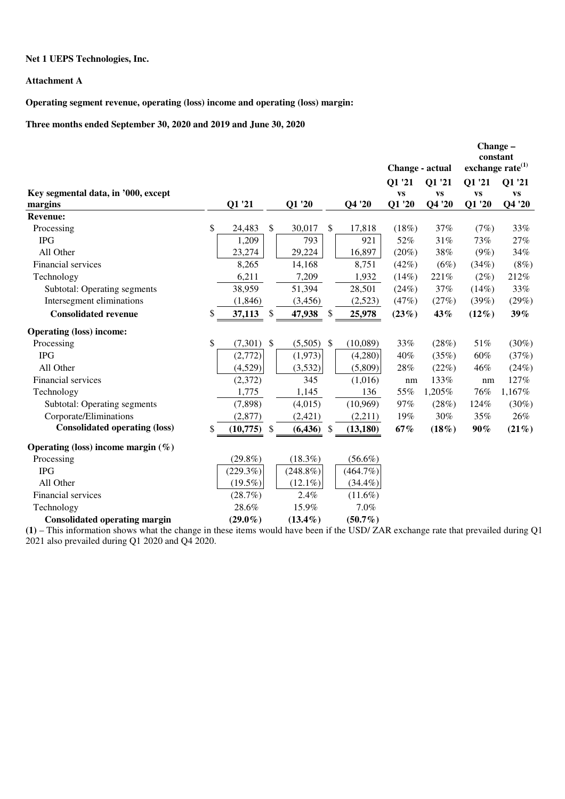## **Net 1 UEPS Technologies, Inc.**

## **Attachment A**

**Operating segment revenue, operating (loss) income and operating (loss) margin:** 

**Three months ended September 30, 2020 and 2019 and June 30, 2020** 

|                                       |                                |             |               |             | Change - actual |           | Change -<br>constant<br>exchange rate $^{(1)}$ |           |
|---------------------------------------|--------------------------------|-------------|---------------|-------------|-----------------|-----------|------------------------------------------------|-----------|
|                                       |                                |             |               |             | Q1 '21          | Q1 '21    | Q1 '21                                         | Q1 '21    |
| Key segmental data, in '000, except   |                                |             |               |             | <b>VS</b>       | <b>VS</b> | <b>VS</b>                                      | <b>VS</b> |
| margins                               | Q1 '21                         | Q1 '20      |               | Q4 '20      | Q1 '20          | Q4 '20    | Q1 '20                                         | Q4 '20    |
| <b>Revenue:</b>                       |                                |             |               |             |                 |           |                                                |           |
| Processing                            | \$<br>24,483<br>\$             | 30,017      | \$            | 17,818      | (18%)           | 37%       | (7%)                                           | 33%       |
| <b>IPG</b>                            | 1,209                          | 793         |               | 921         | 52%             | 31%       | 73%                                            | 27%       |
| All Other                             | 23,274                         | 29,224      |               | 16,897      | $(20\%)$        | 38%       | $(9\%)$                                        | 34%       |
| Financial services                    | 8,265                          | 14,168      |               | 8,751       | (42%)           | (6%)      | (34%)                                          | (8%)      |
| Technology                            | 6,211                          | 7,209       |               | 1,932       | $(14\%)$        | 221%      | (2%)                                           | 212%      |
| Subtotal: Operating segments          | 38,959                         | 51,394      |               | 28,501      | (24%)           | 37%       | (14%)                                          | 33%       |
| Intersegment eliminations             | (1, 846)                       | (3, 456)    |               | (2,523)     | (47%)           | (27%)     | (39%)                                          | (29%)     |
| <b>Consolidated revenue</b>           | \$<br>37,113<br>\$.            | 47,938      | \$.           | 25,978      | (23%)           | 43%       | $(12\%)$                                       | 39%       |
| <b>Operating (loss) income:</b>       |                                |             |               |             |                 |           |                                                |           |
| Processing                            | \$<br>(7,301)<br>$\mathcal{S}$ | (5,505)     | $\mathcal{S}$ | (10,089)    | 33%             | (28%)     | 51%                                            | $(30\%)$  |
| <b>IPG</b>                            | (2,772)                        | (1,973)     |               | (4,280)     | 40%             | (35%)     | 60%                                            | (37%)     |
| All Other                             | (4,529)                        | (3,532)     |               | (5,809)     | 28%             | (22%)     | 46%                                            | (24%)     |
| Financial services                    | (2,372)                        | 345         |               | (1,016)     | nm              | 133%      | nm                                             | 127%      |
| Technology                            | 1,775                          | 1,145       |               | 136         | 55%             | 1,205%    | 76%                                            | 1,167%    |
| Subtotal: Operating segments          | (7,898)                        | (4,015)     |               | (10,969)    | 97%             | (28%)     | 124%                                           | $(30\%)$  |
| Corporate/Eliminations                | (2,877)                        | (2,421)     |               | (2,211)     | 19%             | 30%       | 35%                                            | 26%       |
| <b>Consolidated operating (loss)</b>  | \$<br>$(10,775)$ \$            | (6, 436)    | $\mathcal{S}$ | (13, 180)   | 67%             | $(18\%)$  | $90\%$                                         | $(21\%)$  |
| Operating (loss) income margin $(\%)$ |                                |             |               |             |                 |           |                                                |           |
| Processing                            | $(29.8\%)$                     | $(18.3\%)$  |               | $(56.6\%)$  |                 |           |                                                |           |
| <b>IPG</b>                            | (229.3%)                       | $(248.8\%)$ |               | $(464.7\%)$ |                 |           |                                                |           |
| All Other                             | $(19.5\%)$                     | $(12.1\%)$  |               | $(34.4\%)$  |                 |           |                                                |           |
| Financial services                    | (28.7%)                        | 2.4%        |               | $(11.6\%)$  |                 |           |                                                |           |
| Technology                            | 28.6%                          | 15.9%       |               | 7.0%        |                 |           |                                                |           |
| <b>Consolidated operating margin</b>  | $(29.0\%)$                     | $(13.4\%)$  |               | $(50.7\%)$  |                 |           |                                                |           |

**(1)** – This information shows what the change in these items would have been if the USD/ ZAR exchange rate that prevailed during Q1 2021 also prevailed during Q1 2020 and Q4 2020.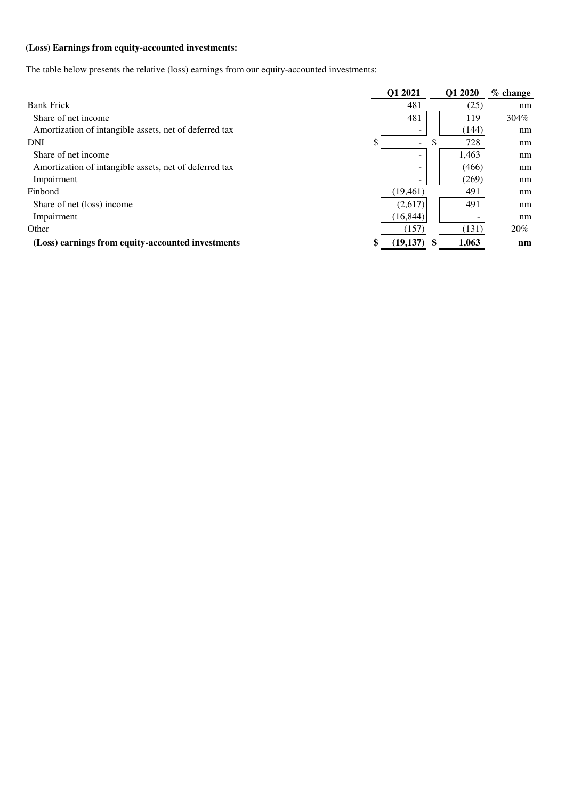# **(Loss) Earnings from equity-accounted investments:**

The table below presents the relative (loss) earnings from our equity-accounted investments:

|                                                        | Q1 2021             | Q1 2020   | $%$ change |
|--------------------------------------------------------|---------------------|-----------|------------|
| <b>Bank Frick</b>                                      | 481                 | (25)      | nm         |
| Share of net income                                    | 481                 | 119       | $304\%$    |
| Amortization of intangible assets, net of deferred tax |                     | (144)     | nm         |
| <b>DNI</b>                                             | \$<br>-             | \$<br>728 | nm         |
| Share of net income                                    |                     | 1,463     | nm         |
| Amortization of intangible assets, net of deferred tax | -                   | (466)     | nm         |
| Impairment                                             |                     | (269)     | nm         |
| Finbond                                                | (19, 461)           | 491       | nm         |
| Share of net (loss) income                             | (2,617)             | 491       | nm         |
| Impairment                                             | (16, 844)           |           | nm         |
| Other                                                  | (157)               | (131)     | 20%        |
| (Loss) earnings from equity-accounted investments      | \$<br>$(19,137)$ \$ | 1.063     | nm         |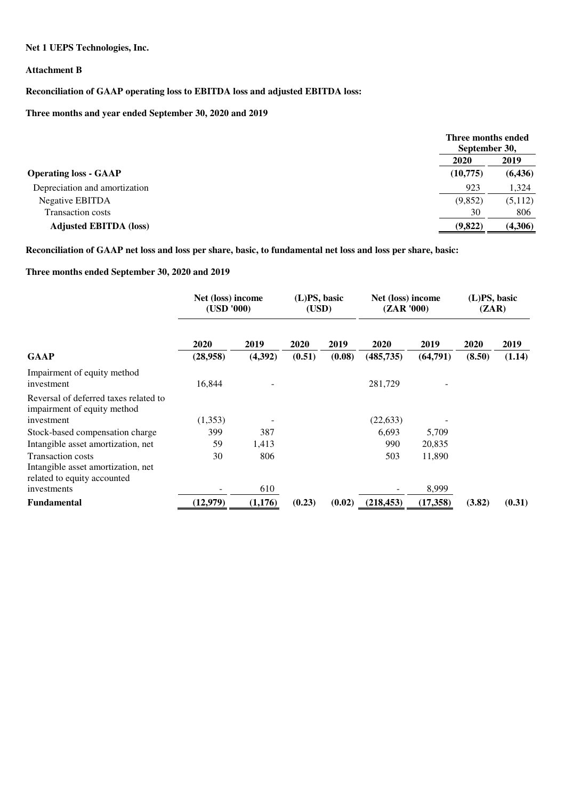**Net 1 UEPS Technologies, Inc.** 

### **Attachment B**

# **Reconciliation of GAAP operating loss to EBITDA loss and adjusted EBITDA loss:**

## **Three months and year ended September 30, 2020 and 2019**

|                               | Three months ended<br>September 30, |          |
|-------------------------------|-------------------------------------|----------|
|                               | 2020                                | 2019     |
| <b>Operating loss - GAAP</b>  | (10,775)                            | (6, 436) |
| Depreciation and amortization | 923                                 | 1,324    |
| Negative EBITDA               | (9,852)                             | (5,112)  |
| <b>Transaction costs</b>      | 30                                  | 806      |
| <b>Adjusted EBITDA (loss)</b> | (9,822)                             | (4,306)  |

**Reconciliation of GAAP net loss and loss per share, basic, to fundamental net loss and loss per share, basic:** 

## **Three months ended September 30, 2020 and 2019**

|                                                                                               | Net (loss) income<br>(USD '000) |                 | (L)PS, basic<br>(USD) |                | Net (loss) income<br>(ZAR'000) |                  | (L)PS, basic<br>(ZAR) |                |
|-----------------------------------------------------------------------------------------------|---------------------------------|-----------------|-----------------------|----------------|--------------------------------|------------------|-----------------------|----------------|
| <b>GAAP</b>                                                                                   | 2020<br>(28,958)                | 2019<br>(4,392) | 2020<br>(0.51)        | 2019<br>(0.08) | 2020<br>(485, 735)             | 2019<br>(64,791) | 2020<br>(8.50)        | 2019<br>(1.14) |
| Impairment of equity method<br>investment                                                     | 16,844                          |                 |                       |                | 281,729                        |                  |                       |                |
| Reversal of deferred taxes related to<br>impairment of equity method                          |                                 |                 |                       |                |                                |                  |                       |                |
| investment<br>Stock-based compensation charge                                                 | (1,353)<br>399                  | 387             |                       |                | (22, 633)<br>6,693             | 5,709            |                       |                |
| Intangible asset amortization, net                                                            | 59                              | 1,413           |                       |                | 990                            | 20,835           |                       |                |
| <b>Transaction costs</b><br>Intangible asset amortization, net<br>related to equity accounted | 30                              | 806             |                       |                | 503                            | 11,890           |                       |                |
| investments                                                                                   |                                 | 610             |                       |                |                                | 8,999            |                       |                |
| Fundamental                                                                                   | (12,979)                        | (1,176)         | (0.23)                | (0.02)         | (218, 453)                     | (17,358)         | (3.82)                | (0.31)         |